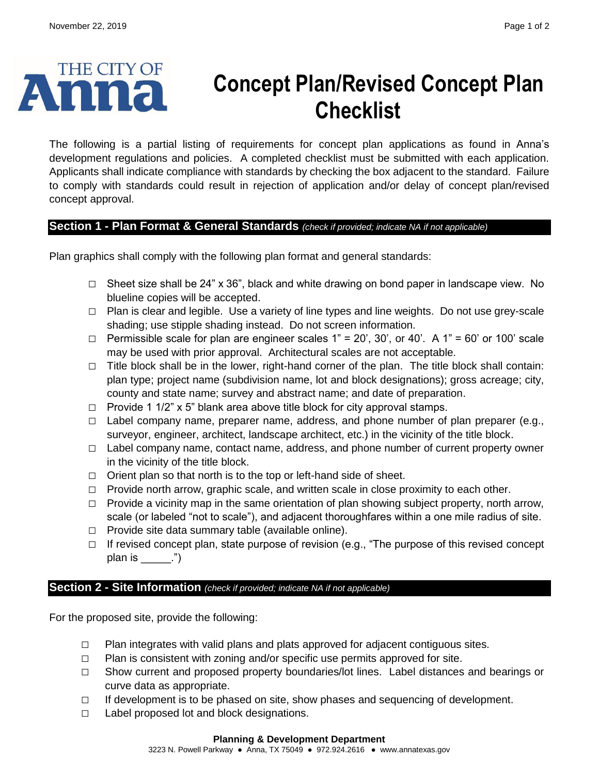

# **Concept Plan/Revised Concept Plan Checklist**

The following is a partial listing of requirements for concept plan applications as found in Anna's development regulations and policies. A completed checklist must be submitted with each application. Applicants shall indicate compliance with standards by checking the box adjacent to the standard. Failure to comply with standards could result in rejection of application and/or delay of concept plan/revised concept approval.

## **Section 1 - Plan Format & General Standards** *(check if provided; indicate NA if not applicable)*

Plan graphics shall comply with the following plan format and general standards:

- **□** Sheet size shall be 24" x 36", black and white drawing on bond paper in landscape view. No blueline copies will be accepted.
- **□** Plan is clear and legible. Use a variety of line types and line weights. Do not use grey-scale shading; use stipple shading instead. Do not screen information.
- **□** Permissible scale for plan are engineer scales 1" = 20', 30', or 40'. A 1" = 60' or 100' scale may be used with prior approval. Architectural scales are not acceptable.
- **□** Title block shall be in the lower, right-hand corner of the plan. The title block shall contain: plan type; project name (subdivision name, lot and block designations); gross acreage; city, county and state name; survey and abstract name; and date of preparation.
- **□** Provide 1 1/2" x 5" blank area above title block for city approval stamps.
- **□** Label company name, preparer name, address, and phone number of plan preparer (e.g., surveyor, engineer, architect, landscape architect, etc.) in the vicinity of the title block.
- **□** Label company name, contact name, address, and phone number of current property owner in the vicinity of the title block.
- **□** Orient plan so that north is to the top or left-hand side of sheet.
- **□** Provide north arrow, graphic scale, and written scale in close proximity to each other.
- **□** Provide a vicinity map in the same orientation of plan showing subject property, north arrow, scale (or labeled "not to scale"), and adjacent thoroughfares within a one mile radius of site.
- **□** Provide site data summary table (available online).
- **□** If revised concept plan, state purpose of revision (e.g., "The purpose of this revised concept plan is  $\qquad$  ")

## **Section 2 - Site Information** *(check if provided; indicate NA if not applicable)*

For the proposed site, provide the following:

- **□** Plan integrates with valid plans and plats approved for adjacent contiguous sites.
- **□** Plan is consistent with zoning and/or specific use permits approved for site.
- **□** Show current and proposed property boundaries/lot lines. Label distances and bearings or curve data as appropriate.
- **□** If development is to be phased on site, show phases and sequencing of development.
- **□** Label proposed lot and block designations.

#### **Planning & Development Department**